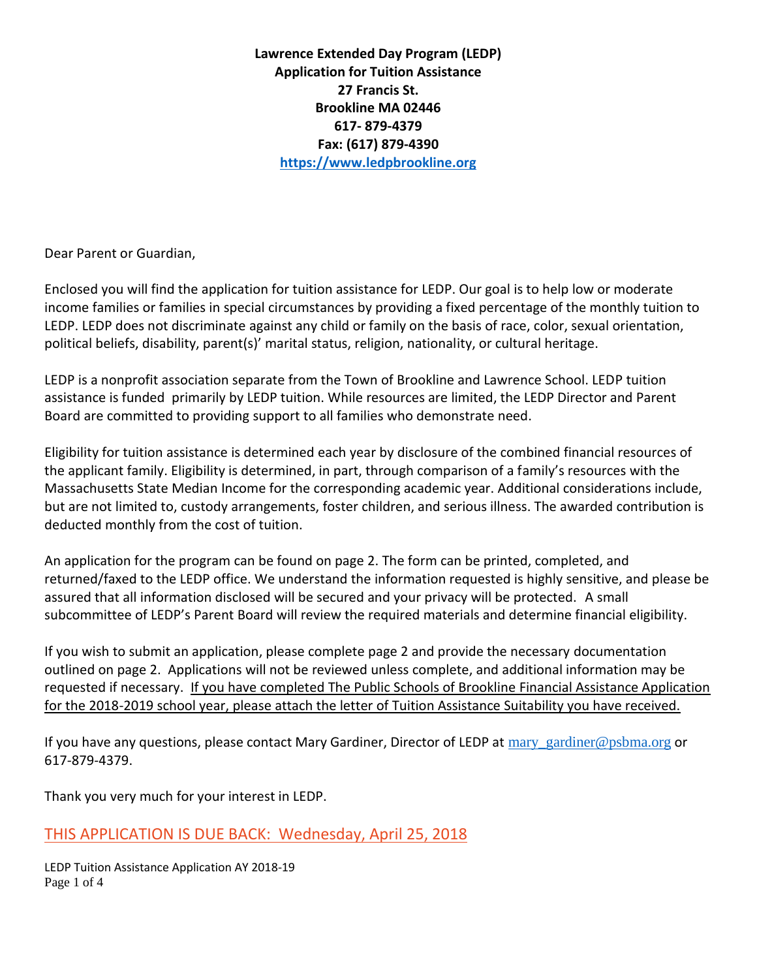**Lawrence Extended Day Program (LEDP) Application for Tuition Assistance 27 Francis St. Brookline MA 02446 617- 879-4379 Fax: (617) 879-4390 [https://www.ledpbrookline.org](https://www.ledpbrookline.org/)**

Dear Parent or Guardian,

Enclosed you will find the application for tuition assistance for LEDP. Our goal is to help low or moderate income families or families in special circumstances by providing a fixed percentage of the monthly tuition to LEDP. LEDP does not discriminate against any child or family on the basis of race, color, sexual orientation, political beliefs, disability, parent(s)' marital status, religion, nationality, or cultural heritage.

LEDP is a nonprofit association separate from the Town of Brookline and Lawrence School. LEDP tuition assistance is funded primarily by LEDP tuition. While resources are limited, the LEDP Director and Parent Board are committed to providing support to all families who demonstrate need.

Eligibility for tuition assistance is determined each year by disclosure of the combined financial resources of the applicant family. Eligibility is determined, in part, through comparison of a family's resources with the Massachusetts State Median Income for the corresponding academic year. Additional considerations include, but are not limited to, custody arrangements, foster children, and serious illness. The awarded contribution is deducted monthly from the cost of tuition.

An application for the program can be found on page 2. The form can be printed, completed, and returned/faxed to the LEDP office. We understand the information requested is highly sensitive, and please be assured that all information disclosed will be secured and your privacy will be protected. A small subcommittee of LEDP's Parent Board will review the required materials and determine financial eligibility.

If you wish to submit an application, please complete page 2 and provide the necessary documentation outlined on page 2. Applications will not be reviewed unless complete, and additional information may be requested if necessary. If you have completed The Public Schools of Brookline Financial Assistance Application for the 2018-2019 school year, please attach the letter of Tuition Assistance Suitability you have received.

If you have any questions, please contact Mary Gardiner, Director of LEDP at [mary\\_gardiner@psbma.org](mailto:mary_gardiner@psbma.org) or 617-879-4379.

Thank you very much for your interest in LEDP.

# THIS APPLICATION IS DUE BACK: Wednesday, April 25, 2018

LEDP Tuition Assistance Application AY 2018-19 Page 1 of 4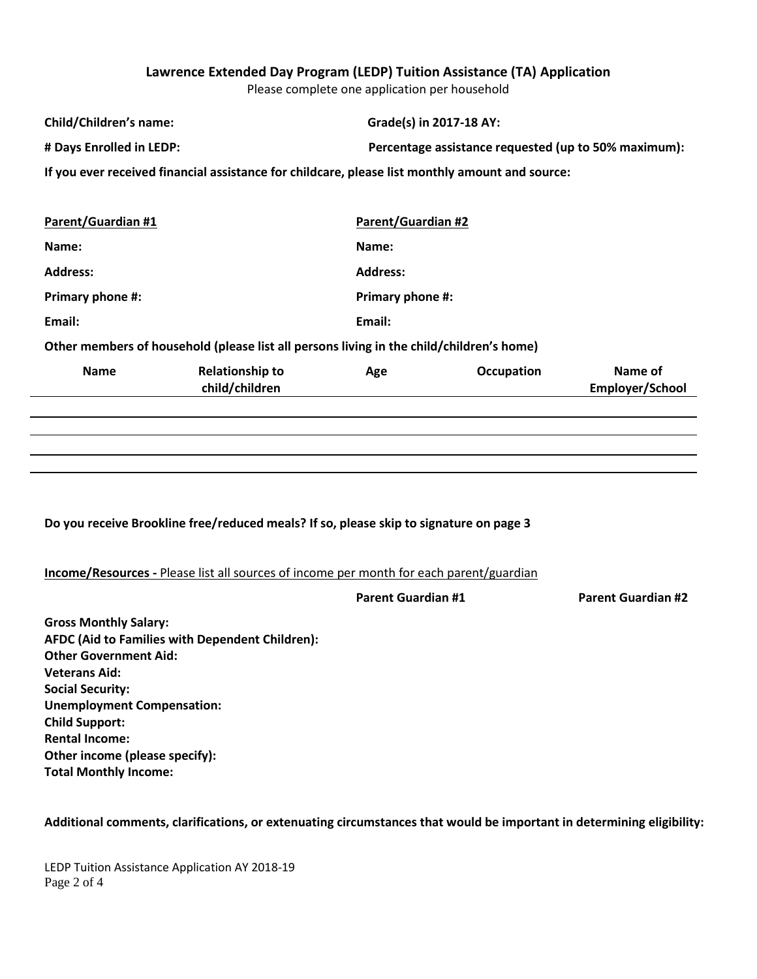## **Lawrence Extended Day Program (LEDP) Tuition Assistance (TA) Application**

Please complete one application per household

| Child/Children's name:                                                                          | Grade(s) in 2017-18 AY:                                |  |  |  |  |  |
|-------------------------------------------------------------------------------------------------|--------------------------------------------------------|--|--|--|--|--|
| # Days Enrolled in LEDP:                                                                        | Percentage assistance requested (up to 50% maximum):   |  |  |  |  |  |
| If you ever received financial assistance for childcare, please list monthly amount and source: |                                                        |  |  |  |  |  |
|                                                                                                 |                                                        |  |  |  |  |  |
| Parent/Guardian #1                                                                              | <b>Parent/Guardian #2</b>                              |  |  |  |  |  |
| Name:                                                                                           | Name:                                                  |  |  |  |  |  |
| <b>Address:</b>                                                                                 | <b>Address:</b>                                        |  |  |  |  |  |
| Primary phone #:                                                                                | <b>Primary phone #:</b>                                |  |  |  |  |  |
| Email:                                                                                          | Email:                                                 |  |  |  |  |  |
| Other members of household (please list all persons living in the child/children's home)        |                                                        |  |  |  |  |  |
| <b>Name</b><br><b>Relationship to</b><br>child/children                                         | Name of<br><b>Occupation</b><br>Age<br>Employer/School |  |  |  |  |  |

### **Do you receive Brookline free/reduced meals? If so, please skip to signature on page 3**

### **Income/Resources -** Please list all sources of income per month for each parent/guardian

| <b>Parent Guardian #1</b> | <b>Parent Guardian #2</b> |
|---------------------------|---------------------------|
|                           |                           |

**Gross Monthly Salary: AFDC (Aid to Families with Dependent Children): Other Government Aid: Veterans Aid: Social Security: Unemployment Compensation: Child Support: Rental Income: Other income (please specify): Total Monthly Income:**

#### **Additional comments, clarifications, or extenuating circumstances that would be important in determining eligibility:**

LEDP Tuition Assistance Application AY 2018-19 Page 2 of 4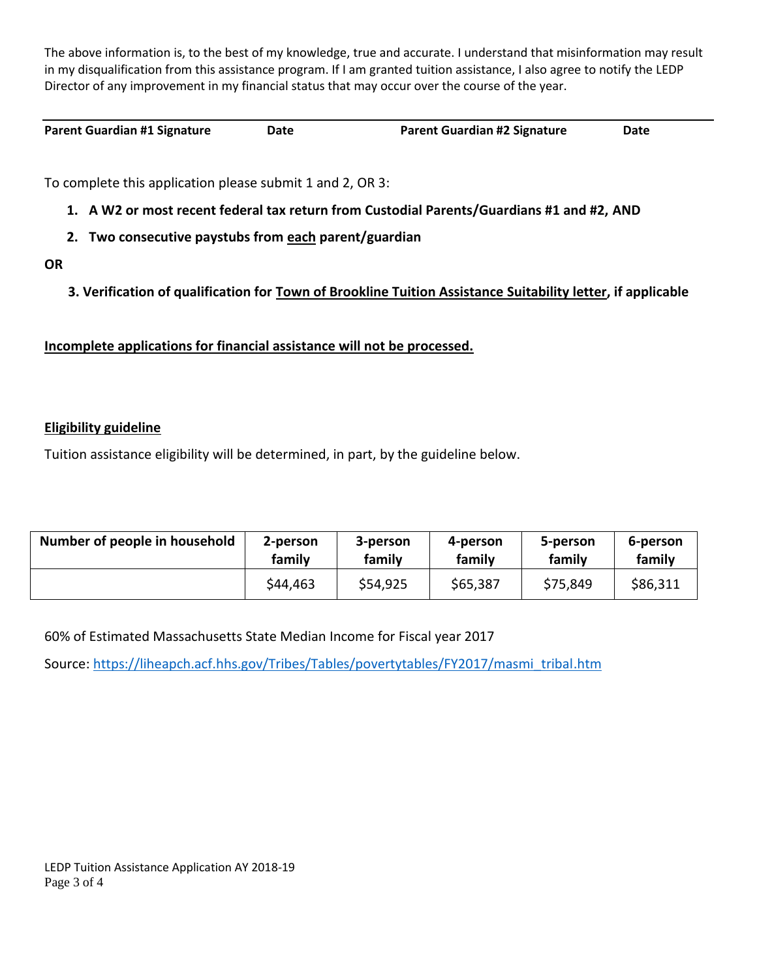The above information is, to the best of my knowledge, true and accurate. I understand that misinformation may result in my disqualification from this assistance program. If I am granted tuition assistance, I also agree to notify the LEDP Director of any improvement in my financial status that may occur over the course of the year.

**Parent Guardian #1 Signature Date Parent Guardian #2 Signature Date**

To complete this application please submit 1 and 2, OR 3:

- **1. A W2 or most recent federal tax return from Custodial Parents/Guardians #1 and #2, AND**
- **2. Two consecutive paystubs from each parent/guardian**
- **OR**
- **3. Verification of qualification for Town of Brookline Tuition Assistance Suitability letter, if applicable**

**Incomplete applications for financial assistance will not be processed.**

## **Eligibility guideline**

Tuition assistance eligibility will be determined, in part, by the guideline below.

| Number of people in household | 2-person | 3-person | 4-person | 5-person | 6-person |
|-------------------------------|----------|----------|----------|----------|----------|
|                               | family   | family   | family   | family   | family   |
|                               | \$44,463 | \$54,925 | \$65,387 | \$75,849 | \$86,311 |

60% of Estimated Massachusetts State Median Income for Fiscal year 2017

Source: [https://liheapch.acf.hhs.gov/Tribes/Tables/povertytables/FY2017/masmi\\_tribal.htm](https://liheapch.acf.hhs.gov/Tribes/Tables/povertytables/FY2017/masmi_tribal.htm)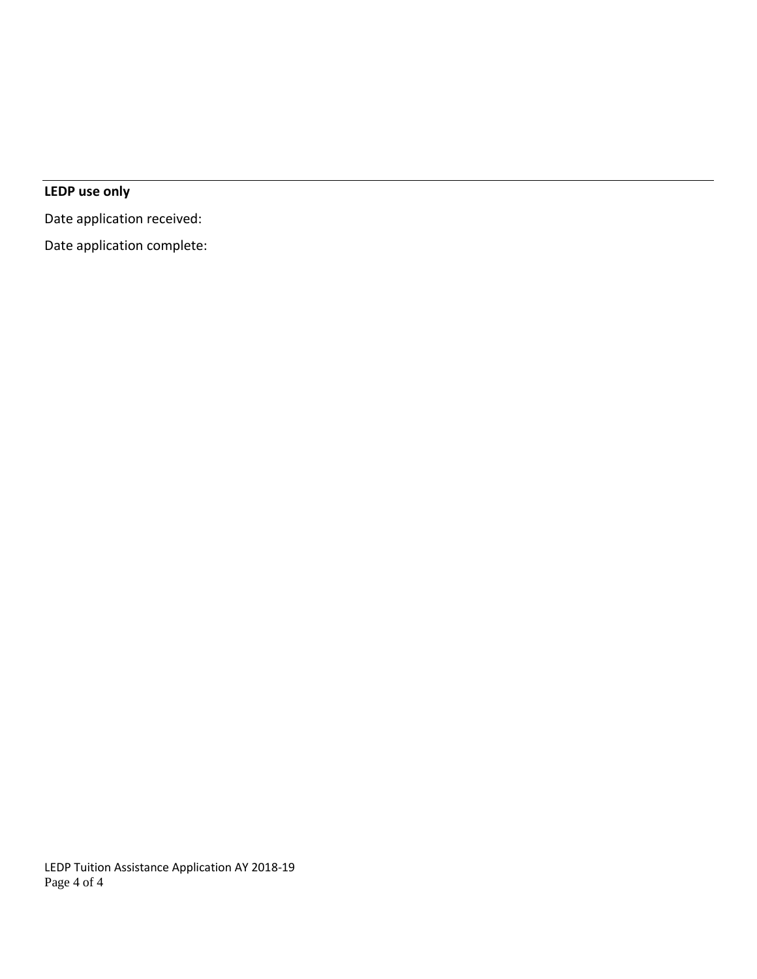# **LEDP use only**

Date application received:

Date application complete:

LEDP Tuition Assistance Application AY 2018-19 Page 4 of 4